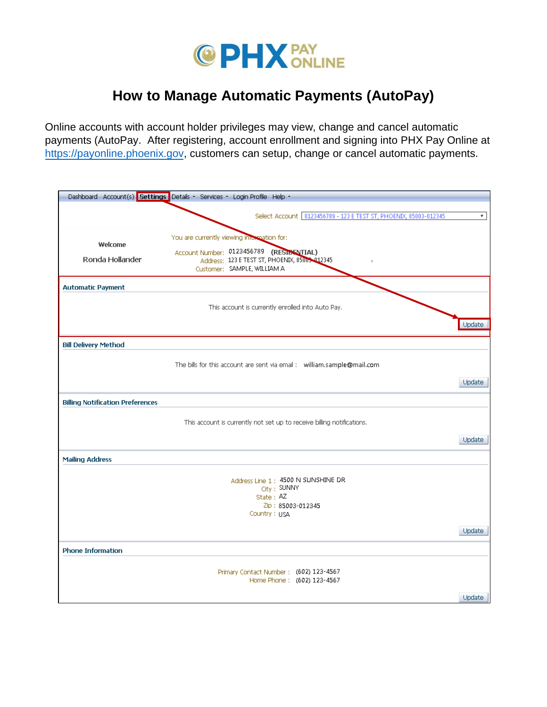

## **How to Manage Automatic Payments (AutoPay)**

Online accounts with account holder privileges may view, change and cancel automatic payments (AutoPay. After registering, account enrollment and signing into PHX Pay Online at [https://payonline.phoenix.gov,](https://payonlline.phoenix.gov/) customers can setup, change or cancel automatic payments.

|                                         | Dashboard Account(s) Settings Details - Services - Login Profile Help -                                                                                                |        |
|-----------------------------------------|------------------------------------------------------------------------------------------------------------------------------------------------------------------------|--------|
|                                         | Select Account 0123456789 - 123 E TEST ST, PHOENDC, 85003-012345                                                                                                       | ۳.     |
| Welcome<br>Ronda Hollander              | You are currently viewing information for:<br>Account Number: 0123456789 (RESISENTIAL)<br>Address: 123 E TEST ST, PHOENDC, 85009-012345<br>Customer: SAMPLE, WILLIAM A |        |
| <b>Automatic Payment</b>                |                                                                                                                                                                        |        |
|                                         | This account is currently enrolled into Auto Pay.                                                                                                                      | Update |
| <b>Bill Delivery Method</b>             |                                                                                                                                                                        |        |
|                                         | The bills for this account are sent via email: william.sample@mail.com                                                                                                 |        |
|                                         |                                                                                                                                                                        | Update |
| <b>Billing Notification Preferences</b> |                                                                                                                                                                        |        |
|                                         | This account is currently not set up to receive billing notifications.                                                                                                 |        |
|                                         |                                                                                                                                                                        | Update |
| <b>Mailing Address</b>                  |                                                                                                                                                                        |        |
|                                         | Address Line 1 : 4500 N SUNSHINE DR<br>City: SUNNY<br>State: AZ<br>Zip: 85003-012345<br>Country: USA                                                                   |        |
|                                         |                                                                                                                                                                        | Update |
| <b>Phone Information</b>                |                                                                                                                                                                        |        |
|                                         | Primary Contact Number: (602) 123-4567<br>Home Phone: (602) 123-4567                                                                                                   |        |
|                                         |                                                                                                                                                                        | Update |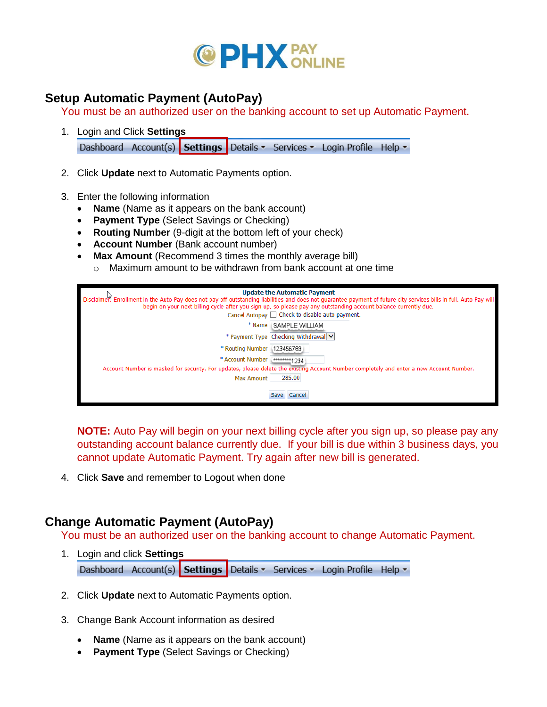

## **Setup Automatic Payment (AutoPay)**

You must be an authorized user on the banking account to set up Automatic Payment.

- 1. Login and Click **Settings** Dashboard Account(s) Settings Details v Services v Login Profile Help v
- 2. Click **Update** next to Automatic Payments option.
- 3. Enter the following information
	- **Name** (Name as it appears on the bank account)
	- **Payment Type** (Select Savings or Checking)
	- **Routing Number** (9-digit at the bottom left of your check)
	- **Account Number** (Bank account number)
	- **Max Amount** (Recommend 3 times the monthly average bill)
		- $\circ$  Maximum amount to be withdrawn from bank account at one time

|                            | <b>Update the Automatic Payment</b>                                                                                                                                 |
|----------------------------|---------------------------------------------------------------------------------------------------------------------------------------------------------------------|
|                            | Disclaimer? Enrollment in the Auto Pay does not pay off outstanding liabilities and does not quarantee payment of future city services bills in full. Auto Pay will |
|                            | begin on your next billing cycle after you sign up, so please pay any outstanding account balance currently due.                                                    |
|                            | Cancel Autopay $\Box$ Check to disable auto payment.                                                                                                                |
|                            | * Name   SAMPLE WILLIAM                                                                                                                                             |
|                            | * Payment Type Checking Withdrawal V                                                                                                                                |
| * Routing Number 123456789 |                                                                                                                                                                     |
| * Account Number <a></a>   |                                                                                                                                                                     |
|                            | Account Number is masked for security. For updates, please delete the existing Account Number completely and enter a new Account Number.                            |
| <b>Max Amount</b>          | 285.00                                                                                                                                                              |
|                            |                                                                                                                                                                     |
|                            | Cancel                                                                                                                                                              |

**NOTE:** Auto Pay will begin on your next billing cycle after you sign up, so please pay any outstanding account balance currently due. If your bill is due within 3 business days, you cannot update Automatic Payment. Try again after new bill is generated.

4. Click **Save** and remember to Logout when done

## **Change Automatic Payment (AutoPay)**

You must be an authorized user on the banking account to change Automatic Payment.

- 1. Login and click **Settings** Dashboard Account(s) Settings Details v Services v Login Profile Help v
- 2. Click **Update** next to Automatic Payments option.
- 3. Change Bank Account information as desired
	- **Name** (Name as it appears on the bank account)
	- **Payment Type** (Select Savings or Checking)